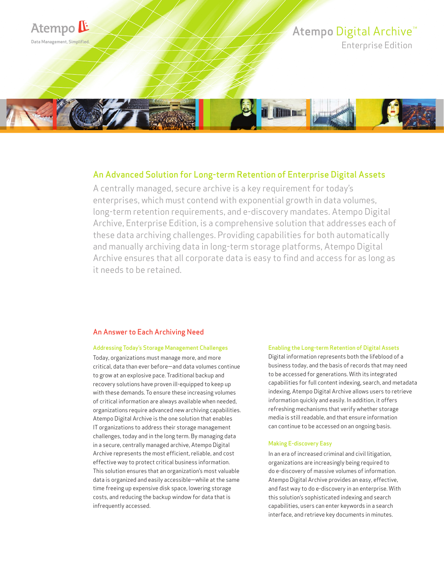

# An Advanced Solution for Long-term Retention of Enterprise Digital Assets

A centrally managed, secure archive is a key requirement for today's enterprises, which must contend with exponential growth in data volumes, long-term retention requirements, and e-discovery mandates. Atempo Digital Archive, Enterprise Edition, is a comprehensive solution that addresses each of these data archiving challenges. Providing capabilities for both automatically and manually archiving data in long-term storage platforms, Atempo Digital Archive ensures that all corporate data is easy to find and access for as long as it needs to be retained.

# An Answer to Each Archiving Need

#### Addressing Today's Storage Management Challenges

Today, organizations must manage more, and more critical, data than ever before—and data volumes continue to grow at an explosive pace. Traditional backup and recovery solutions have proven ill-equipped to keep up with these demands. To ensure these increasing volumes of critical information are always available when needed, organizations require advanced new archiving capabilities. Atempo Digital Archive is the one solution that enables IT organizations to address their storage management challenges, today and in the long term. By managing data in a secure, centrally managed archive, Atempo Digital Archive represents the most efficient, reliable, and cost effective way to protect critical business information. This solution ensures that an organization's most valuable data is organized and easily accessible—while at the same time freeing up expensive disk space, lowering storage costs, and reducing the backup window for data that is infrequently accessed.

#### Enabling the Long-term Retention of Digital Assets

Digital information represents both the lifeblood of a business today, and the basis of records that may need to be accessed for generations. With its integrated capabilities for full content indexing, search, and metadata indexing, Atempo Digital Archive allows users to retrieve information quickly and easily. In addition, it offers refreshing mechanisms that verify whether storage media is still readable, and that ensure information can continue to be accessed on an ongoing basis.

#### Making E-discovery Easy

In an era of increased criminal and civil litigation, organizations are increasingly being required to do e-discovery of massive volumes of information. Atempo Digital Archive provides an easy, effective, and fast way to do e-discovery in an enterprise. With this solution's sophisticated indexing and search capabilities, users can enter keywords in a search interface, and retrieve key documents in minutes.